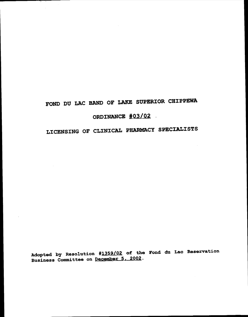# FOND DU LAC BAND OF LAKE SUPERIOR CHIPPEWA

 $\mathcal{L}_{\mathrm{eff}}$ 

## ORDINANCE  $\frac{#03/02}{}$

## LICENSING OF CLINICAL PHARMACY SPECIALISTS

Adopted by Resolution #1359/02 of the Fond du Lac Reservation Business Committee on <u>December 5, 2002</u>.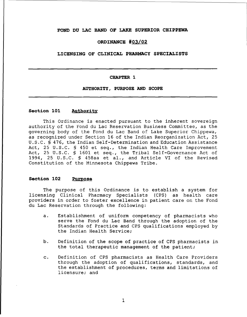## **FOND OU LAC BAND OF LAKE SUPERIOR CHIPPEWA**

## **ORDINANCE** *#03/02*

## **LICENSING OF CLINICAL PHARMACY SPECIALISTS**

#### **CHAPTER 1**

## **AUTHORITY, PURPOSE AND SCOPE**

### **Section 101 Authority**

This Ordinance is enacted pursuant to the inherent sovereign authority of the Fond du Lac Reservation Business Committee, as the governing body of the Fond du Lac Band of Lake Superior Chippewa, as recognized under Section 16 of the Indian Reorganization Act, 25 U.S.C. § 476, the Indian Self-Determination and Education Assistance Act, 25 U.S.C. § 450 et seq., the Indian Health Care Improvement Act, 25 U.S.C. § 1601 et seq., the Tribal Self-Governance Act of 1994, <sup>25</sup> U.S.C. § 458aa et al., and Article VI of the Revised Constitution of the Minnesota Chippewa Tribe.

#### **Section 102 Purpose**

The purpose of this Ordinance is to establish <sup>a</sup> system for licensing Clinical Pharmacy Specialists (CPS) as health care providers in order to foster excellence in patient care on the Fond du Lac Reservation through the following:

- a. Establishment of uniform competency of pharmacists who serve the Fond du Lac Band through the adoption of the Standards of Practice and CPS qualifications employed by the Indian Health Service;
- b. Definition of the scope of practice of CPS pharmacists in the total therapeutic management of the patient;
- c. Definition of CPS pharmacists as Health Care Providers through the adoption of qualifications, standards, and the establishment of procedures, terms and limitations of licensure; and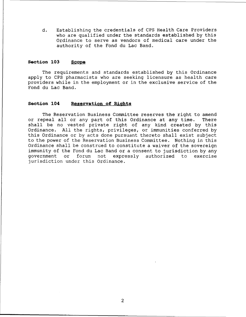d. Establishing the credentials of CPS Health Care Providers who are qualified under the standards established by this Ordinance to serve as vendors of medical care under the authority of the Fond du Lac Band.

## **Section 103 Scope**

The requirements and standards established by this Ordinance apply to CPS pharmacists who are seeking licensure as health care providers while in the employment or in the exclusive service of the Fond du Lac Band.

## **Section 104 Reservation of Rights**

The Reservation Business Committee reserves the right to amend<br>peal all or any part of this Ordinance at any time. There or repeal all or any part of this Ordinance at any time. shall be no vested private right of any kind created by this Ordinance. All the rights, privileges, or immunities conferred by this Ordinance or by acts done pursuant thereto shall exist subject to the power of the Reservation Business Committee. Nothing in this Ordinance shall be construed to constitute a waiver of the sovereign immunity of the Fond du Lac Band or a consent to jurisdiction by any government or forum not expressly authorized to exercise jurisdiction under this Ordinance.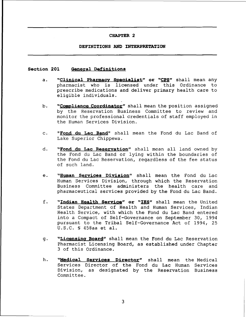## **DEFINITIONS AND INTERPRETATION**

#### **Section 201 General Definitions**

- a. **"Cl.inical Pharmacy Specialist" or "CPS"** shall mean any pharmacist who is licensed under this Ordinance to prescribe medications and deliver primary health care to eligible individuals.
- b. **"Compliance Coordinator"** shall mean the position assigned by the Reservation Business Committee to review and monitor the professional credentials of staff employed in the Human Services Division.
- c. **"Fond du Lac Band"** shall mean the Fond du Lac Band of Lake Superior Chippewa.
- d. **"Fond du Lac Reservation"** shall mean all land owned by the Fond du Lac Band or lying within the boundaries of the Fond du Lac Reservation, regardless of the fee status of such land.
- e. **"Human Services Division"** shall mean the Fond du Lac Human Services Division, through which the Reservation Business Committee administers the health care and pharmaceutical services provided by the Fond du Lac Band.
- f. **"Indian Health Service" or "IHS"** shall mean the United States Department of Health and Human Services, Indian Health Service, with which the Fond du Lac Band entered into a Compact of Self-Governance on September 30, 1994 pursuant to the Tribal Self-Governance Act of 1994, 25 U.S.C. § 458aa et al.
- g. **"Licensing Board"** shall mean the Fond du Lac Reservation Pharmacist Licensing Board, as established under Chapter <sup>3</sup> of this Ordinance.
- h. **"<u>Medical Services Director</u>"** shall mean the Medical Services Director of the Fond du Lac Human Services Division, as designated by the Reservation Business Committee.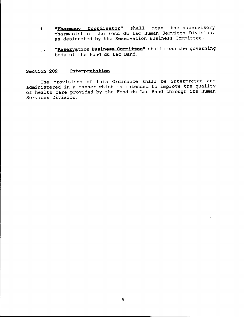- i. **"Pharmacy Coordinator"** shall mean the supervisory pharmacist of the Fond du Lac Human Services Division, as designated by the Reservation Business Committee.
- j. **"Reservation Business Committee"** shall mean the governing body of the Fond du Lac Band.

## **Section 202 Interpretation**

The provisions of this Ordinance shall be interpreted and administered in <sup>a</sup> manner which is intended to improve the quality of health care provided by the Fond du Lac Band through its Human Services Division.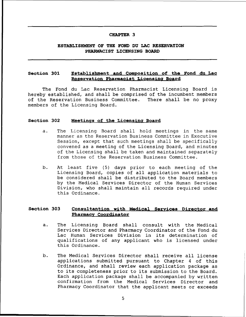## **ESTABLISHMENT OF THE FOND DU LAC RESERVATION PHARMACIST LICENSING BOARD**

## **Section 301 Establishment and Composition of the Fond du Lac Reservation Pharmacist Licensing Board**

The Fond du Lac Reservation Pharmacist Licensing Board is hereby established, and shall be comprised of the incumbent members of the Reservation Business Committee. There shall be no proxy members of the Licensing Board.

#### **Section 302 Meetings of the Licensing Board**

- a. The Licensing Board shall hold meetings in the same manner as the Reservation Business Committee in Executive Session, except that such meetings shall be specifically convened as a meeting of the Licensing Board, and minutes of the Licensing shall be taken and maintained separately from those of the Reservation Business Committee.
- b. At least five (5) days prior to each meeting of the Licensing Board, copies of all application materials to be considered shall be distributed to the Board members by the Medical Services Director of the Human Services Division, who shall maintain all records required under this Ordinance.

## **Section 303 Consultantion with Medical Services Director and Phar.macy Coordinator**

- a. The Licensing Board shall consult with the Medical Services Director and Pharmacy Coordinator of the Fond du Lac Human Services Division in its determination of qualifications of any applicant who is licensed under this Ordinance.
- b. The Medical Services Director shall receive all license applications submitted pursuant to Chapter <sup>4</sup> of this Ordinance, and shall review each application package as to its completeness prior to its submission to the Board. Each application package shall be accompanied by written confirmation from the Medical Services Director and Pharmacy Coordinator that the applicant meets or exceeds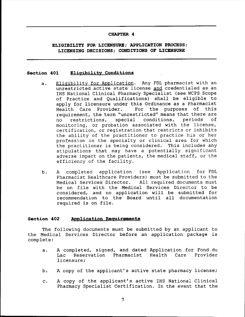**ELIGIBILITY FOR LICENSURE; APPLICATION PROCESS; LICENSING DECISIONS; CONDITIONS OF LICENSURE**

#### **Section 401 Eliq1bility Conditions**

- a. Eligibility for Application. Any FDL pharmacist with an unrestricted active state license and credentialed as an IHS National Clinical Pharmacy Specialist (see NCPS Scope of Practice and Qualifications) shall be eligible to apply for licensure under this Ordinance as a Pharmacist<br>Health Care Provider. For the purposes of this For the purposes of this requirement, the term "unrestricted" means that there are<br>no restrictions, special conditions, periods of no restrictions, monitoring, or probation associated with the license, certification, or registration that restricts or inhibits the ability of the practitioner to practice his or her profession in the specialty or clinical area for which the practitioner is being considered. This includes any stipulations that may have a potentially significant adverse impact on the patients, the medical staff, or the efficiency of the facility.
- b. A completed application (see Application for FDL Pharmacist Healthcare Providers) must be submitted to the Medical Services Director. All required documents must All required documents must be on file with the Medical Services Director to be considered, and no application will be submitted for recommendation to the Board until all documentation required is on file.

### **Section 402 Application Requirements**

The following documents must be submitted by an applicant to the Medical Services Director before an application package is complete:

- a. A completed, signed, and dated Application for Fond du<br>Lac Reservation Pharmacist Health Care Provider Lac Reservation Pharmacist Health Care licensure;
- b. <sup>A</sup> copy of the applicant's active state pharmacy license;
- c. A copy of the applicant's active IHS National Clinical Pharmacy Specialist Certification. In the event that the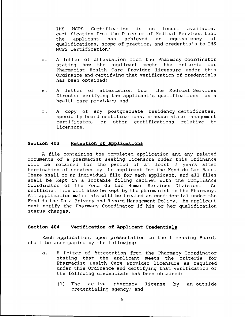IHS NCPS Certification is no longer available, certification from the Director of Medical Services that<br>the applicant has achieved an equivalency of the applicant has achieved qualifications, scope of practice, and credentials to IHS NCPS Certification;

- d. A letter of attestation from the Pharmacy Coordinator<br>stating how the applicant meets the criteria for stating how the applicant meets the criteria Pharmacist Health Care Provider licensure under this Ordinance and certifying that verification of credentials has been obtained;
- e. <sup>A</sup> letter of attestation from the Medical Services Director verifying the applicant's qualifications as a health care provider; and
- f. <sup>A</sup> copy of any postgraduate residency certificates, specialty board certifications, disease state management<br>certificates, or other certifications relative to certificates, or other certifications relative licensure.

## **Section 403 Retention of Applications**

<sup>A</sup> file containing the completed application and any related documents of <sup>a</sup> pharmacist seeking licensure under this Ordinance will be retained for the period of at least <sup>2</sup> years after termination of services by the applicant for the Fond du Lac Band. There shall be an individual file for each applicant, and all files shall be kept in <sup>a</sup> lockable filing cabinet with the Compliance Coordinator of the Fond du Lac Human Services Division. An unofficial file will also be kept by the pharmacist in the Pharmacy. All application materials will be treated as confidential under the Fond du Lac Data Privacy and Record Management Policy. An applicant must notify the Pharmacy Coordinator if *his* or her qualification status changes.

## **Section 404 Verification of Applicant Credentials**

Each application, upon presentation to the Licensing Board, shall be accompanied by the following:

- a. A Letter of Attestation from the Pharmacy Coordinator stating that the applicant meets the criteria for Pharmacist Health Care Provider licensure as required under this Ordinance and certifying that verification of the following credentials has been obtained:
	- (I) The active pharmacy license by an outsidecredentialing agency; and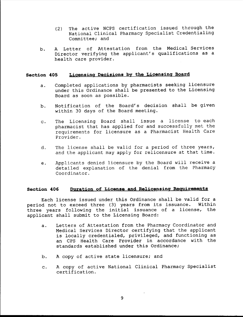- (2) The active NCPS certification issued through the National Clinical Pharmacy Specialist Credentialing Committee; and
- b. A Letter of Attestation from the Medical Services Director verifying the applicant's qualifications as a health care provider.

## **Section 405 Licensing Decisions by the Licensing Board**

- a. Completed applications by pharmacists seeking licensure under this Ordinance shall be presented to the Licensing Board as soon as possible.
- b. Notification of the Board's decision shall be given within 30 days of the Board meeting.
- c. The Licensing Board shall issue a license to each pharmacist that has applied for and successfully met the requirements for licensure as a Pharmacist Health Care Provider.
- d. The license shall be valid for a period of three years, and the applicant may apply for relicensure at that time.
- e. Applicants denied licensure by the Board will receive a detailed explanation of the denial from the Pharmacy Coordinator.

## **Section 406 Duration of License and Relicensinq Requirements**

Each license issued under this Ordinance shall be valid for a<br>d not to exceed three (3) vears from its issuance. Within period not to exceed three (3) years from its issuance. three years following the initial issuance of <sup>a</sup> license, the applicant shall submit to the Licensing Board:

- a. Letters of Attestation from the Pharmacy Coordinator and Medical Services Director certifying that the applicant is locally credentialed, privileged, and functioning as an CPS Health Care Provider in accordance with the standards established under this Ordinance;
- b. <sup>A</sup> copy of active state licensure; and
- c. A copy of active National Clinical Pharmacy Specialist certification.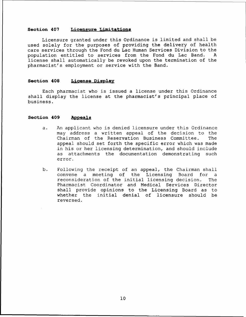## **Section 407 Licensure Limitations**

Licensure granted under this Ordinance is limited and shall be used solely for the purposes of providing the delivery of health care services through the Fond du Lac Human Services Division to the<br>population entitled to services from the Fond du Lac Band. A population entitled to services from the Fond du Lac Band. license shall automatically be revoked upon the termination of the pharmacist's employment or service with the Band.

#### **Section 408 License Display**

Each pharmacist who is issued <sup>a</sup> license under this Ordinance shall display the license at the pharmacist's principal place of business.

#### **Section 409 Appeals**

- a. An applicant who is denied licensure under this Ordinance may address a written appeal of the decision to the Chairman of the Reservation Business Committee. The appeal should set forth the specific error which was made in his or her licensing determination, and should include as attachments the documentation demonstrating such error.
- b. Following the receipt of an appeal, the Chairman shall convene a meeting of the Licensing Board for a reconsideration of the initial licensing decision. The Pharmacist Coordinator and Medical Services Director shall provide opinions to the Licensing Board as to whether the initial denial of licensure should be reversed.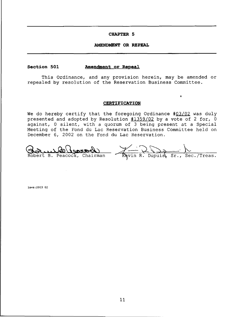#### **AMENDMENT OR REPEAL**

## **Section SOl .Amendment or Repeal**

This Ordinance, and any provision herein, may be amended or repealed by resolution of the Reservation Business Committee.

#### **CERTIFICATION**

 $\pmb{\hat{z}}$ 

We do hereby certify that the foregoing Ordinance #03/02 was duly presented and adopted by Resolution #1359/02 by a vote of 2 for, 0 against, <sup>0</sup> silent, with <sup>a</sup> quorum of <sup>3</sup> being present at <sup>a</sup> Special Meeting of the Fond du Lac Reservation Business Committee held on December 6, 2002 on the Fond du Lac Reservation.

Revin R. Dupuist Sr., Sec./Treas. Robert B. Peacock, Chairman

laws:2003 02